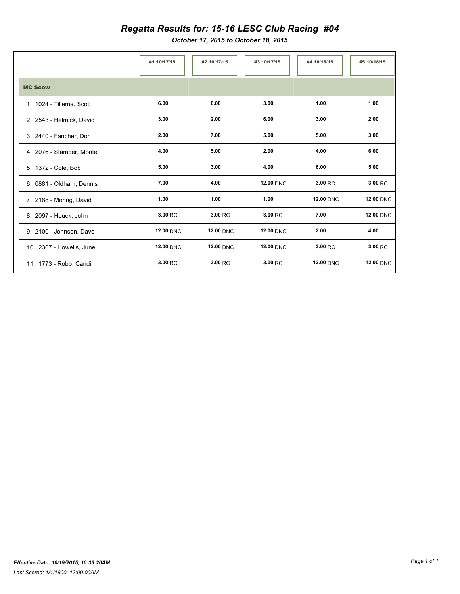## *Regatta Results for: 15-16 LESC Club Racing #04*

*October 17, 2015 to October 18, 2015*

|                          | #1 10/17/15      | #2 10/17/15      | #3 10/17/15      | #4 10/18/15      | #5 10/18/15      |
|--------------------------|------------------|------------------|------------------|------------------|------------------|
| <b>MC Scow</b>           |                  |                  |                  |                  |                  |
| 1. 1024 - Tillema, Scott | 6.00             | 6.00             | 3.00             | 1.00             | 1.00             |
| 2. 2543 - Helmick, David | 3.00             | 2.00             | 6.00             | 3.00             | 2.00             |
| 3. 2440 - Fancher, Don   | 2.00             | 7.00             | 5.00             | 5.00             | 3.00             |
| 4. 2076 - Stamper, Monte | 4.00             | 5.00             | 2.00             | 4.00             | 6.00             |
| 5. 1372 - Cole, Bob      | 5.00             | 3.00             | 4.00             | 6.00             | 5.00             |
| 6. 0881 - Oldham, Dennis | 7.00             | 4.00             | <b>12.00 DNC</b> | 3.00 RC          | 3.00 RC          |
| 7. 2188 - Moring, David  | 1.00             | 1.00             | 1.00             | <b>12.00 DNC</b> | <b>12.00 DNC</b> |
| 8. 2097 - Houck, John    | 3.00 RC          | 3.00 RC          | 3.00 RC          | 7.00             | <b>12.00 DNC</b> |
| 9. 2100 - Johnson, Dave  | <b>12.00 DNC</b> | <b>12.00 DNC</b> | <b>12.00 DNC</b> | 2.00             | 4.00             |
| 10. 2307 - Howells, June | <b>12.00 DNC</b> | <b>12.00 DNC</b> | <b>12.00 DNC</b> | 3.00 RC          | 3.00 RC          |
| 11. 1773 - Robb, Candi   | 3.00 RC          | 3.00 RC          | 3.00 RC          | <b>12.00 DNC</b> | <b>12.00 DNC</b> |